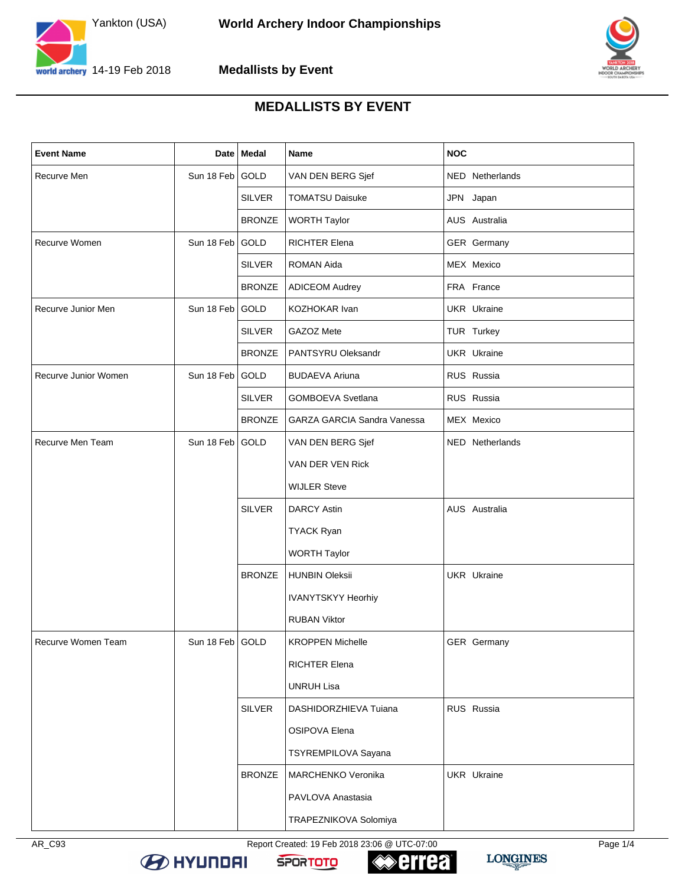



## **MEDALLISTS BY EVENT**

| <b>Event Name</b>    |                 | Date   Medal  | Name                               | <b>NOC</b>         |
|----------------------|-----------------|---------------|------------------------------------|--------------------|
| Recurve Men          | Sun 18 Feb GOLD |               | VAN DEN BERG Sjef                  | NED Netherlands    |
|                      |                 | <b>SILVER</b> | <b>TOMATSU Daisuke</b>             | JPN Japan          |
|                      |                 | <b>BRONZE</b> | <b>WORTH Taylor</b>                | AUS Australia      |
| Recurve Women        | Sun 18 Feb GOLD |               | <b>RICHTER Elena</b>               | GER Germany        |
|                      |                 | <b>SILVER</b> | <b>ROMAN Aida</b>                  | MEX Mexico         |
|                      |                 | <b>BRONZE</b> | <b>ADICEOM Audrey</b>              | FRA France         |
| Recurve Junior Men   | Sun 18 Feb GOLD |               | KOZHOKAR Ivan                      | UKR Ukraine        |
|                      |                 | <b>SILVER</b> | GAZOZ Mete                         | TUR Turkey         |
|                      |                 | <b>BRONZE</b> | PANTSYRU Oleksandr                 | <b>UKR</b> Ukraine |
| Recurve Junior Women | Sun 18 Feb GOLD |               | <b>BUDAEVA Ariuna</b>              | RUS Russia         |
|                      |                 | <b>SILVER</b> | <b>GOMBOEVA Svetlana</b>           | RUS Russia         |
|                      |                 | <b>BRONZE</b> | <b>GARZA GARCIA Sandra Vanessa</b> | MEX Mexico         |
| Recurve Men Team     | Sun 18 Feb GOLD |               | VAN DEN BERG Sjef                  | NED Netherlands    |
|                      |                 |               | VAN DER VEN Rick                   |                    |
|                      |                 |               | <b>WIJLER Steve</b>                |                    |
|                      |                 | <b>SILVER</b> | <b>DARCY Astin</b>                 | AUS Australia      |
|                      |                 |               | <b>TYACK Ryan</b>                  |                    |
|                      |                 |               | <b>WORTH Taylor</b>                |                    |
|                      |                 | <b>BRONZE</b> | <b>HUNBIN Oleksii</b>              | <b>UKR</b> Ukraine |
|                      |                 |               | <b>IVANYTSKYY Heorhiy</b>          |                    |
|                      |                 |               | <b>RUBAN Viktor</b>                |                    |
| Recurve Women Team   | Sun 18 Feb GOLD |               | <b>KROPPEN Michelle</b>            | GER Germany        |
|                      |                 |               | RICHTER Elena                      |                    |
|                      |                 |               | <b>UNRUH Lisa</b>                  |                    |
|                      |                 | <b>SILVER</b> | DASHIDORZHIEVA Tuiana              | RUS Russia         |
|                      |                 |               | OSIPOVA Elena                      |                    |
|                      |                 |               | TSYREMPILOVA Sayana                |                    |
|                      |                 | <b>BRONZE</b> | MARCHENKO Veronika                 | UKR Ukraine        |
|                      |                 |               | PAVLOVA Anastasia                  |                    |
|                      |                 |               | TRAPEZNIKOVA Solomiya              |                    |

AR\_C93 Report Created: 19 Feb 2018 23:06 @ UTC-07:00 Page 1/4







**LONGINES** 

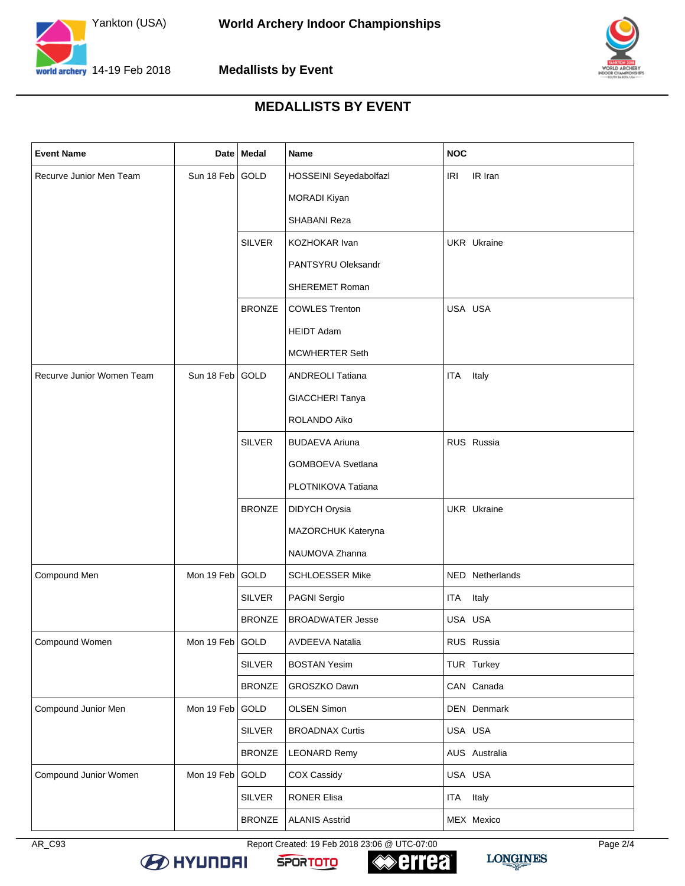



## **MEDALLISTS BY EVENT**

| <b>Event Name</b>         |                 | Date   Medal  | Name                     | <b>NOC</b>          |
|---------------------------|-----------------|---------------|--------------------------|---------------------|
| Recurve Junior Men Team   | Sun 18 Feb GOLD |               | HOSSEINI Seyedabolfazl   | IR Iran<br>IRI      |
|                           |                 |               | <b>MORADI Kiyan</b>      |                     |
|                           |                 |               | SHABANI Reza             |                     |
|                           |                 | <b>SILVER</b> | KOZHOKAR Ivan            | <b>UKR</b> Ukraine  |
|                           |                 |               | PANTSYRU Oleksandr       |                     |
|                           |                 |               | <b>SHEREMET Roman</b>    |                     |
|                           |                 | <b>BRONZE</b> | <b>COWLES Trenton</b>    | USA USA             |
|                           |                 |               | <b>HEIDT Adam</b>        |                     |
|                           |                 |               | <b>MCWHERTER Seth</b>    |                     |
| Recurve Junior Women Team | Sun 18 Feb GOLD |               | ANDREOLI Tatiana         | Italy<br><b>ITA</b> |
|                           |                 |               | GIACCHERI Tanya          |                     |
|                           |                 |               | ROLANDO Aiko             |                     |
|                           |                 | <b>SILVER</b> | <b>BUDAEVA Ariuna</b>    | RUS Russia          |
|                           |                 |               | <b>GOMBOEVA Svetlana</b> |                     |
|                           |                 |               | PLOTNIKOVA Tatiana       |                     |
|                           |                 | <b>BRONZE</b> | DIDYCH Orysia            | <b>UKR</b> Ukraine  |
|                           |                 |               | MAZORCHUK Kateryna       |                     |
|                           |                 |               | NAUMOVA Zhanna           |                     |
| Compound Men              | Mon 19 Feb      | <b>GOLD</b>   | <b>SCHLOESSER Mike</b>   | NED Netherlands     |
|                           |                 | <b>SILVER</b> | PAGNI Sergio             | ITA Italy           |
|                           |                 | <b>BRONZE</b> | <b>BROADWATER Jesse</b>  | USA USA             |
| Compound Women            | Mon 19 Feb GOLD |               | AVDEEVA Natalia          | RUS Russia          |
|                           |                 | <b>SILVER</b> | <b>BOSTAN Yesim</b>      | TUR Turkey          |
|                           |                 | <b>BRONZE</b> | GROSZKO Dawn             | CAN Canada          |
| Compound Junior Men       | Mon 19 Feb      | GOLD          | OLSEN Simon              | DEN Denmark         |
|                           |                 | <b>SILVER</b> | <b>BROADNAX Curtis</b>   | USA USA             |
|                           |                 | <b>BRONZE</b> | <b>LEONARD Remy</b>      | AUS Australia       |
| Compound Junior Women     | Mon 19 Feb      | GOLD          | COX Cassidy              | USA USA             |
|                           |                 | <b>SILVER</b> | RONER Elisa              | ITA Italy           |
|                           |                 | <b>BRONZE</b> | <b>ALANIS Asstrid</b>    | MEX Mexico          |

AR\_C93 Report Created: 19 Feb 2018 23:06 @ UTC-07:00 Page 2/4



**B** HYUNDAI





**LONGINES**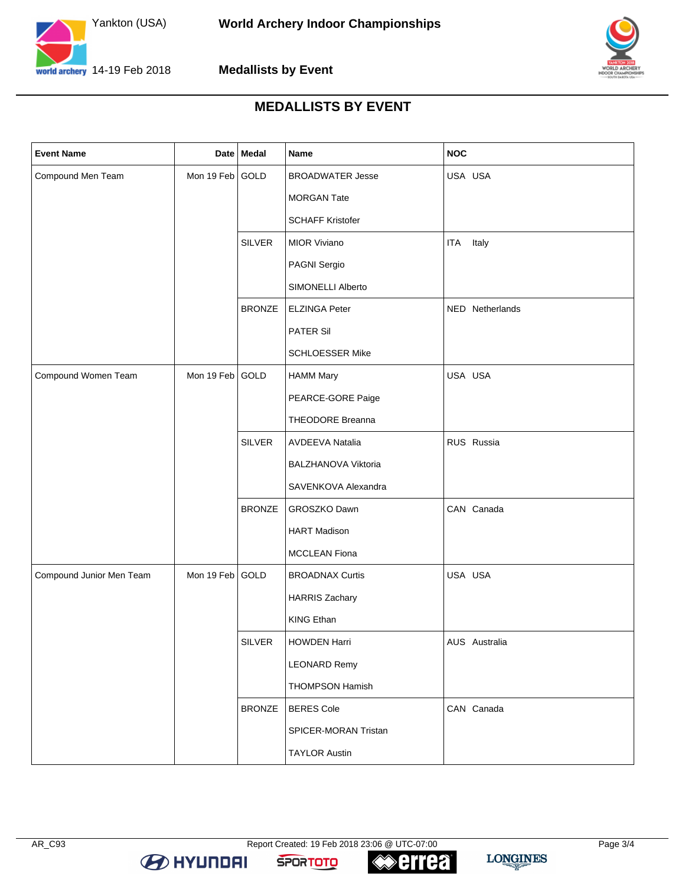



## **MEDALLISTS BY EVENT**

| <b>Event Name</b>        |                 | Date Medal    | Name                    | <b>NOC</b>          |
|--------------------------|-----------------|---------------|-------------------------|---------------------|
| Compound Men Team        | Mon 19 Feb GOLD |               | <b>BROADWATER Jesse</b> | USA USA             |
|                          |                 |               | <b>MORGAN Tate</b>      |                     |
|                          |                 |               | <b>SCHAFF Kristofer</b> |                     |
|                          |                 | <b>SILVER</b> | <b>MIOR Viviano</b>     | Italy<br><b>ITA</b> |
|                          |                 |               | PAGNI Sergio            |                     |
|                          |                 |               | SIMONELLI Alberto       |                     |
|                          |                 | <b>BRONZE</b> | <b>ELZINGA Peter</b>    | NED Netherlands     |
|                          |                 |               | <b>PATER Sil</b>        |                     |
|                          |                 |               | <b>SCHLOESSER Mike</b>  |                     |
| Compound Women Team      | Mon 19 Feb GOLD |               | <b>HAMM Mary</b>        | USA USA             |
|                          |                 |               | PEARCE-GORE Paige       |                     |
|                          |                 |               | THEODORE Breanna        |                     |
|                          |                 | <b>SILVER</b> | <b>AVDEEVA Natalia</b>  | RUS Russia          |
|                          |                 |               | BALZHANOVA Viktoria     |                     |
|                          |                 |               | SAVENKOVA Alexandra     |                     |
|                          |                 | <b>BRONZE</b> | GROSZKO Dawn            | CAN Canada          |
|                          |                 |               | <b>HART Madison</b>     |                     |
|                          |                 |               | <b>MCCLEAN Fiona</b>    |                     |
| Compound Junior Men Team | Mon 19 Feb GOLD |               | <b>BROADNAX Curtis</b>  | USA USA             |
|                          |                 |               | <b>HARRIS Zachary</b>   |                     |
|                          |                 |               | <b>KING Ethan</b>       |                     |
|                          |                 | <b>SILVER</b> | <b>HOWDEN Harri</b>     | AUS Australia       |
|                          |                 |               | <b>LEONARD Remy</b>     |                     |
|                          |                 |               | <b>THOMPSON Hamish</b>  |                     |
|                          |                 | <b>BRONZE</b> | <b>BERES Cole</b>       | CAN Canada          |
|                          |                 |               | SPICER-MORAN Tristan    |                     |
|                          |                 |               | <b>TAYLOR Austin</b>    |                     |

**errea** 

**SPORTOTO** 

**B** HYUNDAI